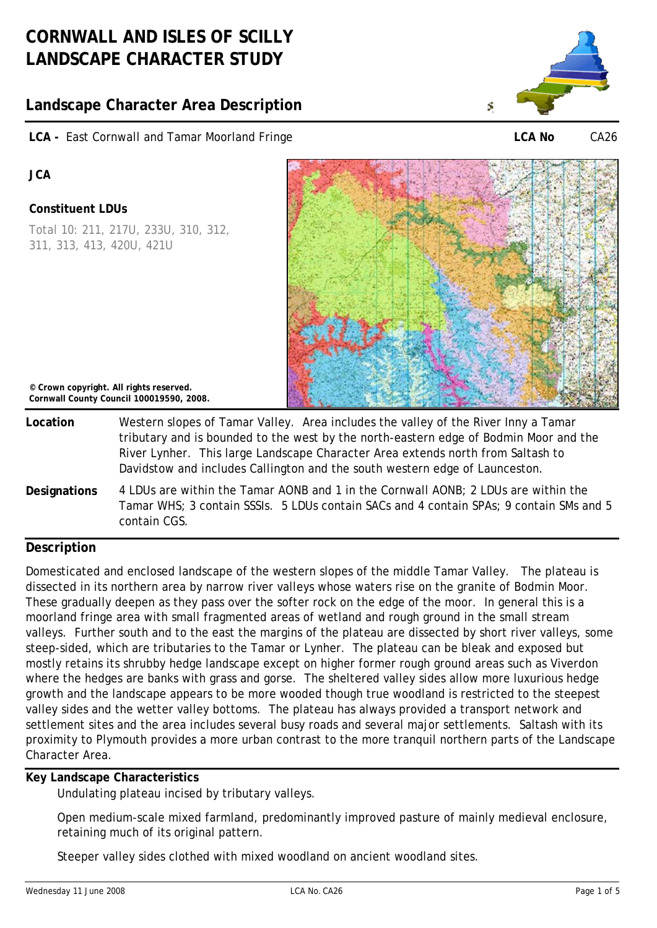# **Landscape Character Area Description**

**LCA -** East Cornwall and Tamar Moorland Fringe



**LCA No** CA26

**JCA** 

## **Constituent LDUs**

Total 10: 211, 217U, 233U, 310, 312, 311, 313, 413, 420U, 421U



**© Crown copyright. All rights reserved. Cornwall County Council 100019590, 2008.**

- **Location** Western slopes of Tamar Valley. Area includes the valley of the River Inny a Tamar tributary and is bounded to the west by the north-eastern edge of Bodmin Moor and the River Lynher. This large Landscape Character Area extends north from Saltash to Davidstow and includes Callington and the south western edge of Launceston.
- **Designations** 4 LDUs are within the Tamar AONB and 1 in the Cornwall AONB; 2 LDUs are within the Tamar WHS; 3 contain SSSIs. 5 LDUs contain SACs and 4 contain SPAs; 9 contain SMs and 5 contain CGS.

# **Description**

Domesticated and enclosed landscape of the western slopes of the middle Tamar Valley. The plateau is dissected in its northern area by narrow river valleys whose waters rise on the granite of Bodmin Moor. These gradually deepen as they pass over the softer rock on the edge of the moor. In general this is a moorland fringe area with small fragmented areas of wetland and rough ground in the small stream valleys. Further south and to the east the margins of the plateau are dissected by short river valleys, some steep-sided, which are tributaries to the Tamar or Lynher. The plateau can be bleak and exposed but mostly retains its shrubby hedge landscape except on higher former rough ground areas such as Viverdon where the hedges are banks with grass and gorse. The sheltered valley sides allow more luxurious hedge growth and the landscape appears to be more wooded though true woodland is restricted to the steepest valley sides and the wetter valley bottoms. The plateau has always provided a transport network and settlement sites and the area includes several busy roads and several major settlements. Saltash with its proximity to Plymouth provides a more urban contrast to the more tranquil northern parts of the Landscape Character Area.

## **Key Landscape Characteristics**

Undulating plateau incised by tributary valleys.

Open medium-scale mixed farmland, predominantly improved pasture of mainly medieval enclosure, retaining much of its original pattern.

Steeper valley sides clothed with mixed woodland on ancient woodland sites.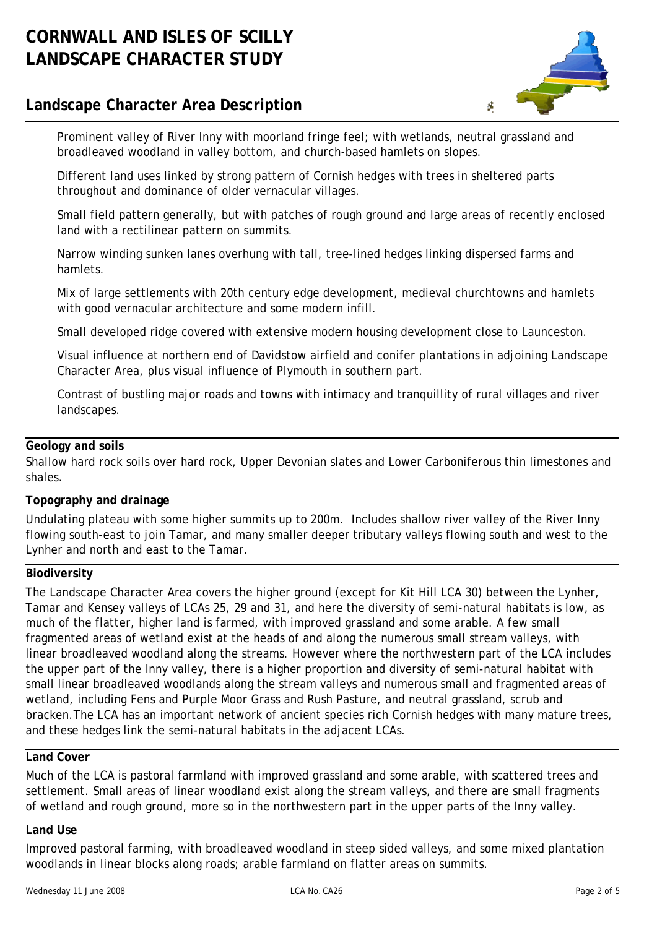# **Landscape Character Area Description**



Prominent valley of River Inny with moorland fringe feel; with wetlands, neutral grassland and broadleaved woodland in valley bottom, and church-based hamlets on slopes.

Different land uses linked by strong pattern of Cornish hedges with trees in sheltered parts throughout and dominance of older vernacular villages.

Small field pattern generally, but with patches of rough ground and large areas of recently enclosed land with a rectilinear pattern on summits.

Narrow winding sunken lanes overhung with tall, tree-lined hedges linking dispersed farms and hamlets.

Mix of large settlements with 20th century edge development, medieval churchtowns and hamlets with good vernacular architecture and some modern infill.

Small developed ridge covered with extensive modern housing development close to Launceston.

Visual influence at northern end of Davidstow airfield and conifer plantations in adjoining Landscape Character Area, plus visual influence of Plymouth in southern part.

Contrast of bustling major roads and towns with intimacy and tranquillity of rural villages and river landscapes.

### **Geology and soils**

Shallow hard rock soils over hard rock, Upper Devonian slates and Lower Carboniferous thin limestones and shales.

## **Topography and drainage**

Undulating plateau with some higher summits up to 200m. Includes shallow river valley of the River Inny flowing south-east to join Tamar, and many smaller deeper tributary valleys flowing south and west to the Lynher and north and east to the Tamar.

#### **Biodiversity**

The Landscape Character Area covers the higher ground (except for Kit Hill LCA 30) between the Lynher, Tamar and Kensey valleys of LCAs 25, 29 and 31, and here the diversity of semi-natural habitats is low, as much of the flatter, higher land is farmed, with improved grassland and some arable. A few small fragmented areas of wetland exist at the heads of and along the numerous small stream valleys, with linear broadleaved woodland along the streams. However where the northwestern part of the LCA includes the upper part of the Inny valley, there is a higher proportion and diversity of semi-natural habitat with small linear broadleaved woodlands along the stream valleys and numerous small and fragmented areas of wetland, including Fens and Purple Moor Grass and Rush Pasture, and neutral grassland, scrub and bracken.The LCA has an important network of ancient species rich Cornish hedges with many mature trees, and these hedges link the semi-natural habitats in the adjacent LCAs.

# **Land Cover**

Much of the LCA is pastoral farmland with improved grassland and some arable, with scattered trees and settlement. Small areas of linear woodland exist along the stream valleys, and there are small fragments of wetland and rough ground, more so in the northwestern part in the upper parts of the Inny valley.

### **Land Use**

Improved pastoral farming, with broadleaved woodland in steep sided valleys, and some mixed plantation woodlands in linear blocks along roads; arable farmland on flatter areas on summits.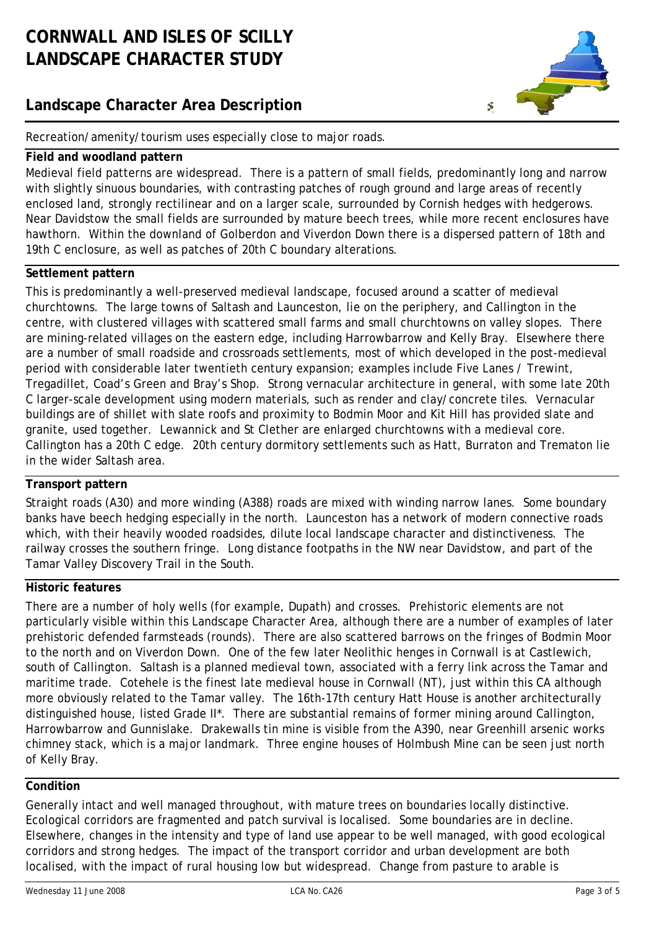# **Landscape Character Area Description**



Recreation/amenity/tourism uses especially close to major roads.

#### **Field and woodland pattern**

Medieval field patterns are widespread. There is a pattern of small fields, predominantly long and narrow with slightly sinuous boundaries, with contrasting patches of rough ground and large areas of recently enclosed land, strongly rectilinear and on a larger scale, surrounded by Cornish hedges with hedgerows. Near Davidstow the small fields are surrounded by mature beech trees, while more recent enclosures have hawthorn. Within the downland of Golberdon and Viverdon Down there is a dispersed pattern of 18th and 19th C enclosure, as well as patches of 20th C boundary alterations.

### **Settlement pattern**

This is predominantly a well-preserved medieval landscape, focused around a scatter of medieval churchtowns. The large towns of Saltash and Launceston, lie on the periphery, and Callington in the centre, with clustered villages with scattered small farms and small churchtowns on valley slopes. There are mining-related villages on the eastern edge, including Harrowbarrow and Kelly Bray. Elsewhere there are a number of small roadside and crossroads settlements, most of which developed in the post-medieval period with considerable later twentieth century expansion; examples include Five Lanes / Trewint, Tregadillet, Coad's Green and Bray's Shop. Strong vernacular architecture in general, with some late 20th C larger-scale development using modern materials, such as render and clay/concrete tiles. Vernacular buildings are of shillet with slate roofs and proximity to Bodmin Moor and Kit Hill has provided slate and granite, used together. Lewannick and St Clether are enlarged churchtowns with a medieval core. Callington has a 20th C edge. 20th century dormitory settlements such as Hatt, Burraton and Trematon lie in the wider Saltash area.

#### **Transport pattern**

Straight roads (A30) and more winding (A388) roads are mixed with winding narrow lanes. Some boundary banks have beech hedging especially in the north. Launceston has a network of modern connective roads which, with their heavily wooded roadsides, dilute local landscape character and distinctiveness. The railway crosses the southern fringe. Long distance footpaths in the NW near Davidstow, and part of the Tamar Valley Discovery Trail in the South.

## **Historic features**

There are a number of holy wells (for example, Dupath) and crosses. Prehistoric elements are not particularly visible within this Landscape Character Area, although there are a number of examples of later prehistoric defended farmsteads (rounds). There are also scattered barrows on the fringes of Bodmin Moor to the north and on Viverdon Down. One of the few later Neolithic henges in Cornwall is at Castlewich, south of Callington. Saltash is a planned medieval town, associated with a ferry link across the Tamar and maritime trade. Cotehele is the finest late medieval house in Cornwall (NT), just within this CA although more obviously related to the Tamar valley. The 16th-17th century Hatt House is another architecturally distinguished house, listed Grade II\*. There are substantial remains of former mining around Callington, Harrowbarrow and Gunnislake. Drakewalls tin mine is visible from the A390, near Greenhill arsenic works chimney stack, which is a major landmark. Three engine houses of Holmbush Mine can be seen just north of Kelly Bray.

### **Condition**

Generally intact and well managed throughout, with mature trees on boundaries locally distinctive. Ecological corridors are fragmented and patch survival is localised. Some boundaries are in decline. Elsewhere, changes in the intensity and type of land use appear to be well managed, with good ecological corridors and strong hedges. The impact of the transport corridor and urban development are both localised, with the impact of rural housing low but widespread. Change from pasture to arable is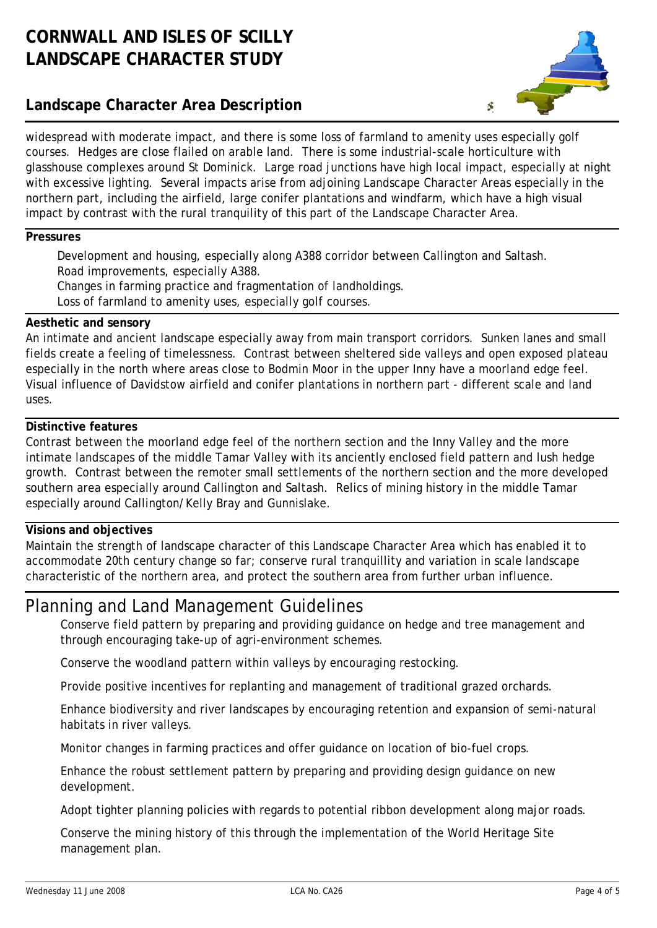# **Landscape Character Area Description**



widespread with moderate impact, and there is some loss of farmland to amenity uses especially golf courses. Hedges are close flailed on arable land. There is some industrial-scale horticulture with glasshouse complexes around St Dominick. Large road junctions have high local impact, especially at night with excessive lighting. Several impacts arise from adjoining Landscape Character Areas especially in the northern part, including the airfield, large conifer plantations and windfarm, which have a high visual impact by contrast with the rural tranquility of this part of the Landscape Character Area.

#### **Pressures**

Development and housing, especially along A388 corridor between Callington and Saltash. Road improvements, especially A388. Changes in farming practice and fragmentation of landholdings.

Loss of farmland to amenity uses, especially golf courses.

#### **Aesthetic and sensory**

An intimate and ancient landscape especially away from main transport corridors. Sunken lanes and small fields create a feeling of timelessness. Contrast between sheltered side valleys and open exposed plateau especially in the north where areas close to Bodmin Moor in the upper Inny have a moorland edge feel. Visual influence of Davidstow airfield and conifer plantations in northern part - different scale and land uses.

#### **Distinctive features**

Contrast between the moorland edge feel of the northern section and the Inny Valley and the more intimate landscapes of the middle Tamar Valley with its anciently enclosed field pattern and lush hedge growth. Contrast between the remoter small settlements of the northern section and the more developed southern area especially around Callington and Saltash. Relics of mining history in the middle Tamar especially around Callington/Kelly Bray and Gunnislake.

### **Visions and objectives**

Maintain the strength of landscape character of this Landscape Character Area which has enabled it to accommodate 20th century change so far; conserve rural tranquillity and variation in scale landscape characteristic of the northern area, and protect the southern area from further urban influence.

# Planning and Land Management Guidelines

Conserve field pattern by preparing and providing guidance on hedge and tree management and through encouraging take-up of agri-environment schemes.

Conserve the woodland pattern within valleys by encouraging restocking.

Provide positive incentives for replanting and management of traditional grazed orchards.

Enhance biodiversity and river landscapes by encouraging retention and expansion of semi-natural habitats in river valleys.

Monitor changes in farming practices and offer guidance on location of bio-fuel crops.

Enhance the robust settlement pattern by preparing and providing design guidance on new development.

Adopt tighter planning policies with regards to potential ribbon development along major roads.

Conserve the mining history of this through the implementation of the World Heritage Site management plan.